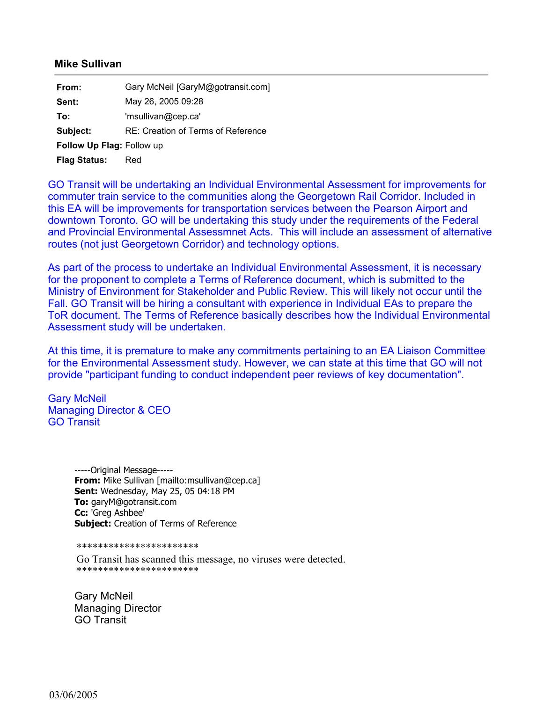## **Mike Sullivan**

| From:                     | Gary McNeil [GaryM@gotransit.com]  |
|---------------------------|------------------------------------|
| Sent:                     | May 26, 2005 09:28                 |
| To:                       | 'msullivan@cep.ca'                 |
| Subject:                  | RE: Creation of Terms of Reference |
| Follow Up Flag: Follow up |                                    |
| <b>Flag Status:</b>       | Red                                |

GO Transit will be undertaking an Individual Environmental Assessment for improvements for commuter train service to the communities along the Georgetown Rail Corridor. Included in this EA will be improvements for transportation services between the Pearson Airport and downtown Toronto. GO will be undertaking this study under the requirements of the Federal and Provincial Environmental Assessmnet Acts. This will include an assessment of alternative routes (not just Georgetown Corridor) and technology options.

As part of the process to undertake an Individual Environmental Assessment, it is necessary for the proponent to complete a Terms of Reference document, which is submitted to the Ministry of Environment for Stakeholder and Public Review. This will likely not occur until the Fall. GO Transit will be hiring a consultant with experience in Individual EAs to prepare the ToR document. The Terms of Reference basically describes how the Individual Environmental Assessment study will be undertaken.

At this time, it is premature to make any commitments pertaining to an EA Liaison Committee for the Environmental Assessment study. However, we can state at this time that GO will not provide "participant funding to conduct independent peer reviews of key documentation".

Gary McNeil Managing Director & CEO GO Transit

> -----Original Message----- **From:** Mike Sullivan [mailto:msullivan@cep.ca] **Sent:** Wednesday, May 25, 05 04:18 PM **To:** garyM@gotransit.com **Cc:** 'Greg Ashbee' **Subject:** Creation of Terms of Reference

\*\*\*\*\*\*\*\*\*\*\*\*\*\*\*\*\*\*\*\*\*\*\*

Go Transit has scanned this message, no viruses were detected. \*\*\*\*\*\*\*\*\*\*\*\*\*\*\*\*\*\*\*\*\*\*\*

Gary McNeil Managing Director GO Transit